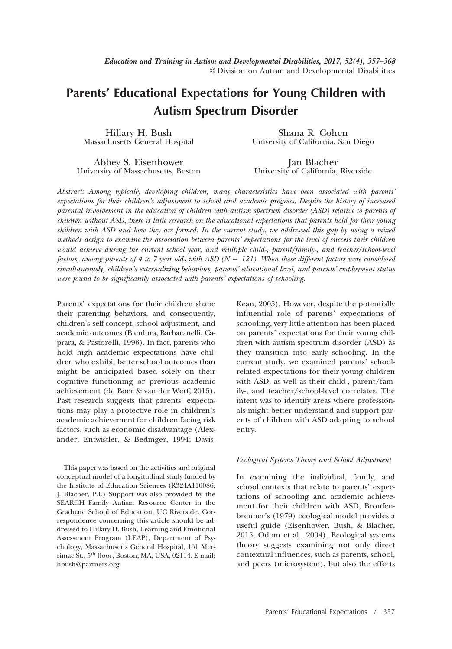# **Parents' Educational Expectations for Young Children with Autism Spectrum Disorder**

Hillary H. Bush Massachusetts General Hospital

Shana R. Cohen University of California, San Diego

Abbey S. Eisenhower University of Massachusetts, Boston

Jan Blacher University of California, Riverside

*Abstract: Among typically developing children, many characteristics have been associated with parents' expectations for their children's adjustment to school and academic progress. Despite the history of increased parental involvement in the education of children with autism spectrum disorder (ASD) relative to parents of children without ASD, there is little research on the educational expectations that parents hold for their young children with ASD and how they are formed. In the current study, we addressed this gap by using a mixed methods design to examine the association between parents' expectations for the level of success their children would achieve during the current school year, and multiple child-, parent/family-, and teacher/school-level factors, among parents of 4 to 7 year olds with ASD (N* - *121). When these different factors were considered simultaneously, children's externalizing behaviors, parents' educational level, and parents' employment status were found to be significantly associated with parents' expectations of schooling.*

Parents' expectations for their children shape their parenting behaviors, and consequently, children's self-concept, school adjustment, and academic outcomes (Bandura, Barbaranelli, Caprara, & Pastorelli, 1996). In fact, parents who hold high academic expectations have children who exhibit better school outcomes than might be anticipated based solely on their cognitive functioning or previous academic achievement (de Boer & van der Werf, 2015). Past research suggests that parents' expectations may play a protective role in children's academic achievement for children facing risk factors, such as economic disadvantage (Alexander, Entwistler, & Bedinger, 1994; Davis-

This paper was based on the activities and original conceptual model of a longitudinal study funded by the Institute of Education Sciences (R324A110086; J. Blacher, P.I.) Support was also provided by the SEARCH Family Autism Resource Center in the Graduate School of Education, UC Riverside. Correspondence concerning this article should be addressed to Hillary H. Bush, Learning and Emotional Assessment Program (LEAP), Department of Psychology, Massachusetts General Hospital, 151 Merrimac St., 5th floor, Boston, MA, USA, 02114. E-mail: [hbush@partners.org](mailto:hbush@partners.org)

Kean, 2005). However, despite the potentially influential role of parents' expectations of schooling, very little attention has been placed on parents' expectations for their young children with autism spectrum disorder (ASD) as they transition into early schooling. In the current study, we examined parents' schoolrelated expectations for their young children with ASD, as well as their child-, parent/family-, and teacher/school-level correlates. The intent was to identify areas where professionals might better understand and support parents of children with ASD adapting to school entry.

### *Ecological Systems Theory and School Adjustment*

In examining the individual, family, and school contexts that relate to parents' expectations of schooling and academic achievement for their children with ASD, Bronfenbrenner's (1979) ecological model provides a useful guide (Eisenhower, Bush, & Blacher, 2015; Odom et al., 2004). Ecological systems theory suggests examining not only direct contextual influences, such as parents, school, and peers (microsystem), but also the effects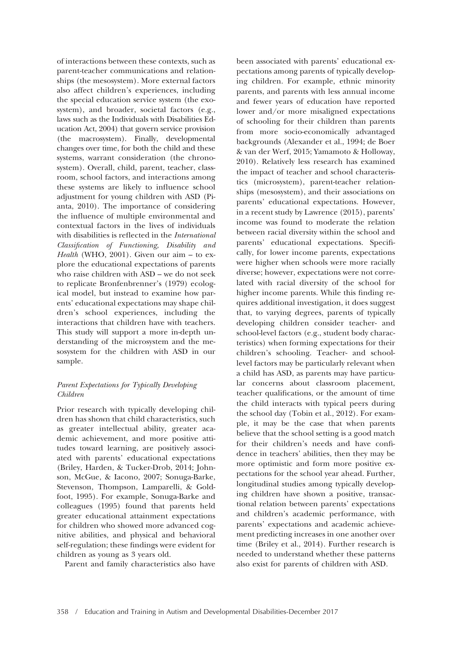of interactions between these contexts, such as parent-teacher communications and relationships (the mesosystem). More external factors also affect children's experiences, including the special education service system (the exosystem), and broader, societal factors (e.g., laws such as the Individuals with Disabilities Education Act, 2004) that govern service provision (the macrosystem). Finally, developmental changes over time, for both the child and these systems, warrant consideration (the chronosystem). Overall, child, parent, teacher, classroom, school factors, and interactions among these systems are likely to influence school adjustment for young children with ASD (Pianta, 2010). The importance of considering the influence of multiple environmental and contextual factors in the lives of individuals with disabilities is reflected in the *International Classification of Functioning, Disability and Health* (WHO, 2001). Given our aim – to explore the educational expectations of parents who raise children with ASD – we do not seek to replicate Bronfenbrenner's (1979) ecological model, but instead to examine how parents' educational expectations may shape children's school experiences, including the interactions that children have with teachers. This study will support a more in-depth understanding of the microsystem and the mesosystem for the children with ASD in our sample.

## *Parent Expectations for Typically Developing Children*

Prior research with typically developing children has shown that child characteristics, such as greater intellectual ability, greater academic achievement, and more positive attitudes toward learning, are positively associated with parents' educational expectations (Briley, Harden, & Tucker-Drob, 2014; Johnson, McGue, & Iacono, 2007; Sonuga-Barke, Stevenson, Thompson, Lamparelli, & Goldfoot, 1995). For example, Sonuga-Barke and colleagues (1995) found that parents held greater educational attainment expectations for children who showed more advanced cognitive abilities, and physical and behavioral self-regulation; these findings were evident for children as young as 3 years old.

Parent and family characteristics also have

been associated with parents' educational expectations among parents of typically developing children. For example, ethnic minority parents, and parents with less annual income and fewer years of education have reported lower and/or more misaligned expectations of schooling for their children than parents from more socio-economically advantaged backgrounds (Alexander et al., 1994; de Boer & van der Werf, 2015; Yamamoto & Holloway, 2010). Relatively less research has examined the impact of teacher and school characteristics (microsystem), parent-teacher relationships (mesosystem), and their associations on parents' educational expectations. However, in a recent study by Lawrence (2015), parents' income was found to moderate the relation between racial diversity within the school and parents' educational expectations. Specifically, for lower income parents, expectations were higher when schools were more racially diverse; however, expectations were not correlated with racial diversity of the school for higher income parents. While this finding requires additional investigation, it does suggest that, to varying degrees, parents of typically developing children consider teacher- and school-level factors (e.g., student body characteristics) when forming expectations for their children's schooling. Teacher- and schoollevel factors may be particularly relevant when a child has ASD, as parents may have particular concerns about classroom placement, teacher qualifications, or the amount of time the child interacts with typical peers during the school day (Tobin et al., 2012). For example, it may be the case that when parents believe that the school setting is a good match for their children's needs and have confidence in teachers' abilities, then they may be more optimistic and form more positive expectations for the school year ahead. Further, longitudinal studies among typically developing children have shown a positive, transactional relation between parents' expectations and children's academic performance, with parents' expectations and academic achievement predicting increases in one another over time (Briley et al., 2014). Further research is needed to understand whether these patterns also exist for parents of children with ASD.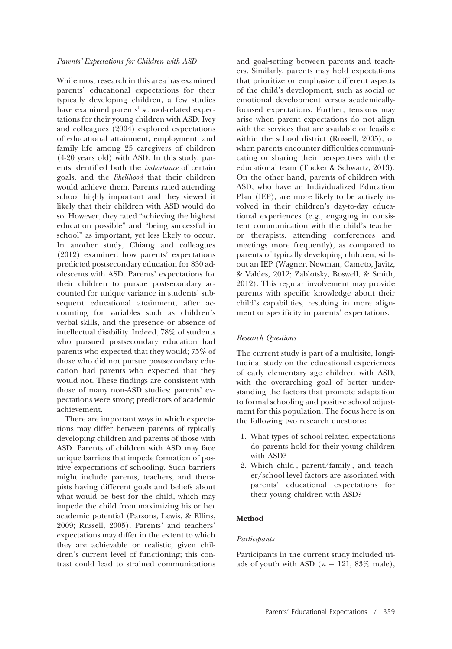## *Parents' Expectations for Children with ASD*

While most research in this area has examined parents' educational expectations for their typically developing children, a few studies have examined parents' school-related expectations for their young children with ASD. Ivey and colleagues (2004) explored expectations of educational attainment, employment, and family life among 25 caregivers of children (4-20 years old) with ASD. In this study, parents identified both the *importance* of certain goals, and the *likelihood* that their children would achieve them. Parents rated attending school highly important and they viewed it likely that their children with ASD would do so. However, they rated "achieving the highest education possible" and "being successful in school" as important, yet less likely to occur. In another study, Chiang and colleagues (2012) examined how parents' expectations predicted postsecondary education for 830 adolescents with ASD. Parents' expectations for their children to pursue postsecondary accounted for unique variance in students' subsequent educational attainment, after accounting for variables such as children's verbal skills, and the presence or absence of intellectual disability. Indeed, 78% of students who pursued postsecondary education had parents who expected that they would; 75% of those who did not pursue postsecondary education had parents who expected that they would not. These findings are consistent with those of many non-ASD studies: parents' expectations were strong predictors of academic achievement.

There are important ways in which expectations may differ between parents of typically developing children and parents of those with ASD. Parents of children with ASD may face unique barriers that impede formation of positive expectations of schooling. Such barriers might include parents, teachers, and therapists having different goals and beliefs about what would be best for the child, which may impede the child from maximizing his or her academic potential (Parsons, Lewis, & Ellins, 2009; Russell, 2005). Parents' and teachers' expectations may differ in the extent to which they are achievable or realistic, given children's current level of functioning; this contrast could lead to strained communications and goal-setting between parents and teachers. Similarly, parents may hold expectations that prioritize or emphasize different aspects of the child's development, such as social or emotional development versus academicallyfocused expectations. Further, tensions may arise when parent expectations do not align with the services that are available or feasible within the school district (Russell, 2005), or when parents encounter difficulties communicating or sharing their perspectives with the educational team (Tucker & Schwartz, 2013). On the other hand, parents of children with ASD, who have an Individualized Education Plan (IEP), are more likely to be actively involved in their children's day-to-day educational experiences (e.g., engaging in consistent communication with the child's teacher or therapists, attending conferences and meetings more frequently), as compared to parents of typically developing children, without an IEP (Wagner, Newman, Cameto, Javitz, & Valdes, 2012; Zablotsky, Boswell, & Smith, 2012). This regular involvement may provide parents with specific knowledge about their child's capabilities, resulting in more alignment or specificity in parents' expectations.

### *Research Questions*

The current study is part of a multisite, longitudinal study on the educational experiences of early elementary age children with ASD, with the overarching goal of better understanding the factors that promote adaptation to formal schooling and positive school adjustment for this population. The focus here is on the following two research questions:

- 1. What types of school-related expectations do parents hold for their young children with ASD?
- 2. Which child-, parent/family-, and teacher/school-level factors are associated with parents' educational expectations for their young children with ASD?

#### **Method**

#### *Participants*

Participants in the current study included triads of youth with ASD  $(n = 121, 83\% \text{ male}),$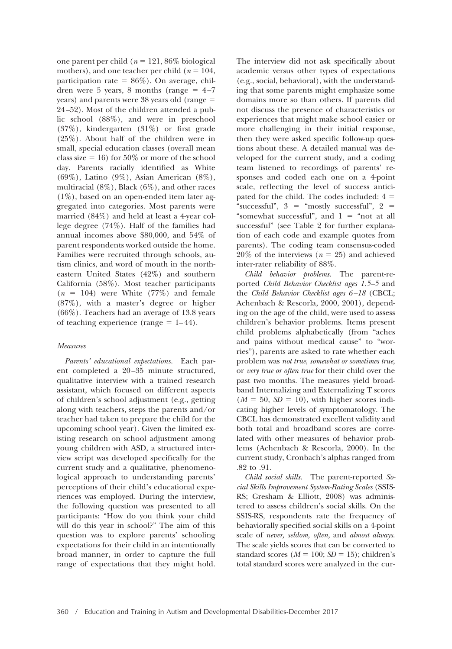one parent per child ( $n = 121, 86\%$  biological mothers), and one teacher per child ( $n = 104$ , participation rate =  $86\%$ ). On average, children were 5 years, 8 months (range  $= 4-7$  $years)$  and parents were  $38$  years old (range  $=$ 24–52). Most of the children attended a public school (88%), and were in preschool (37%), kindergarten (31%) or first grade (25%). About half of the children were in small, special education classes (overall mean class size  $= 16$ ) for 50% or more of the school day. Parents racially identified as White (69%), Latino (9%), Asian American (8%), multiracial (8%), Black (6%), and other races (1%), based on an open-ended item later aggregated into categories. Most parents were married (84%) and held at least a 4-year college degree (74%). Half of the families had annual incomes above \$80,000, and 54% of parent respondents worked outside the home. Families were recruited through schools, autism clinics, and word of mouth in the northeastern United States (42%) and southern California (58%). Most teacher participants  $(n = 104)$  were White  $(77%)$  and female (87%), with a master's degree or higher (66%). Teachers had an average of 13.8 years of teaching experience (range  $= 1-44$ ).

## *Measures*

*Parents' educational expectations.* Each parent completed a 20–35 minute structured, qualitative interview with a trained research assistant, which focused on different aspects of children's school adjustment (e.g., getting along with teachers, steps the parents and/or teacher had taken to prepare the child for the upcoming school year). Given the limited existing research on school adjustment among young children with ASD, a structured interview script was developed specifically for the current study and a qualitative, phenomenological approach to understanding parents' perceptions of their child's educational experiences was employed. During the interview, the following question was presented to all participants: "How do you think your child will do this year in school?" The aim of this question was to explore parents' schooling expectations for their child in an intentionally broad manner, in order to capture the full range of expectations that they might hold.

The interview did not ask specifically about academic versus other types of expectations (e.g., social, behavioral), with the understanding that some parents might emphasize some domains more so than others. If parents did not discuss the presence of characteristics or experiences that might make school easier or more challenging in their initial response, then they were asked specific follow-up questions about these. A detailed manual was developed for the current study, and a coding team listened to recordings of parents' responses and coded each one on a 4-point scale, reflecting the level of success anticipated for the child. The codes included:  $4 =$ "successful",  $3 =$  "mostly successful",  $2 =$ "somewhat successful", and  $1 =$  "not at all successful" (see Table 2 for further explanation of each code and example quotes from parents). The coding team consensus-coded  $20\%$  of the interviews ( $n = 25$ ) and achieved inter-rater reliability of 88%.

*Child behavior problems.* The parent-reported *Child Behavior Checklist ages 1.5–5* and the *Child Behavior Checklist ages 6–18* (CBCL; Achenbach & Rescorla, 2000, 2001), depending on the age of the child, were used to assess children's behavior problems. Items present child problems alphabetically (from "aches and pains without medical cause" to "worries"), parents are asked to rate whether each problem was *not true*, *somewhat or sometimes true*, or *very true or often true* for their child over the past two months. The measures yield broadband Internalizing and Externalizing T scores  $(M = 50, SD = 10)$ , with higher scores indicating higher levels of symptomatology. The CBCL has demonstrated excellent validity and both total and broadband scores are correlated with other measures of behavior problems (Achenbach & Rescorla, 2000). In the current study, Cronbach's alphas ranged from .82 to .91.

*Child social skills.* The parent-reported *Social Skills Improvement System-Rating Scales* (SSIS-RS; Gresham & Elliott, 2008) was administered to assess children's social skills. On the SSIS-RS, respondents rate the frequency of behaviorally specified social skills on a 4-point scale of *never, seldom, often,* and *almost always*. The scale yields scores that can be converted to standard scores  $(M = 100; SD = 15)$ ; children's total standard scores were analyzed in the cur-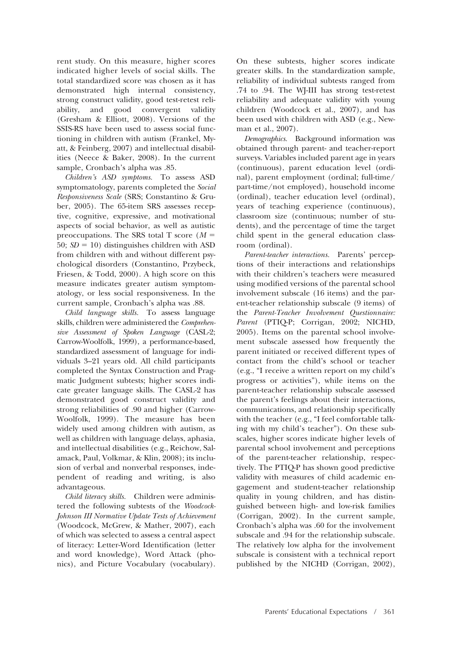rent study. On this measure, higher scores indicated higher levels of social skills. The total standardized score was chosen as it has demonstrated high internal consistency, strong construct validity, good test-retest reliability, and good convergent validity (Gresham & Elliott, 2008). Versions of the SSIS-RS have been used to assess social functioning in children with autism (Frankel, Myatt, & Feinberg, 2007) and intellectual disabilities (Neece & Baker, 2008). In the current sample, Cronbach's alpha was .85.

*Children's ASD symptoms.* To assess ASD symptomatology, parents completed the *Social Responsiveness Scale* (SRS; Constantino & Gruber, 2005). The 65-item SRS assesses receptive, cognitive, expressive, and motivational aspects of social behavior, as well as autistic preoccupations. The SRS total T score  $(M =$  $50; SD = 10$ ) distinguishes children with ASD from children with and without different psychological disorders (Constantino, Przybeck, Friesen, & Todd, 2000). A high score on this measure indicates greater autism symptomatology, or less social responsiveness. In the current sample, Cronbach's alpha was .88.

*Child language skills.* To assess language skills, children were administered the *Comprehensive Assessment of Spoken Language* (CASL-2; Carrow-Woolfolk, 1999), a performance-based, standardized assessment of language for individuals 3–21 years old. All child participants completed the Syntax Construction and Pragmatic Judgment subtests; higher scores indicate greater language skills. The CASL-2 has demonstrated good construct validity and strong reliabilities of .90 and higher (Carrow-Woolfolk, 1999). The measure has been widely used among children with autism, as well as children with language delays, aphasia, and intellectual disabilities (e.g., Reichow, Salamack, Paul, Volkmar, & Klin, 2008); its inclusion of verbal and nonverbal responses, independent of reading and writing, is also advantageous.

*Child literacy skills.* Children were administered the following subtests of the *Woodcock-Johnson III Normative Update Tests of Achievement* (Woodcock, McGrew, & Mather, 2007), each of which was selected to assess a central aspect of literacy: Letter-Word Identification (letter and word knowledge), Word Attack (phonics), and Picture Vocabulary (vocabulary). On these subtests, higher scores indicate greater skills. In the standardization sample, reliability of individual subtests ranged from .74 to .94. The WJ-III has strong test-retest reliability and adequate validity with young children (Woodcock et al., 2007), and has been used with children with ASD (e.g., Newman et al., 2007).

*Demographics.* Background information was obtained through parent- and teacher-report surveys. Variables included parent age in years (continuous), parent education level (ordinal), parent employment (ordinal; full-time/ part-time/not employed), household income (ordinal), teacher education level (ordinal), years of teaching experience (continuous), classroom size (continuous; number of students), and the percentage of time the target child spent in the general education classroom (ordinal).

*Parent-teacher interactions.* Parents' perceptions of their interactions and relationships with their children's teachers were measured using modified versions of the parental school involvement subscale (16 items) and the parent-teacher relationship subscale (9 items) of the *Parent-Teacher Involvement Questionnaire: Parent* (PTIQ-P; Corrigan, 2002; NICHD, 2005). Items on the parental school involvement subscale assessed how frequently the parent initiated or received different types of contact from the child's school or teacher (e.g., "I receive a written report on my child's progress or activities"), while items on the parent-teacher relationship subscale assessed the parent's feelings about their interactions, communications, and relationship specifically with the teacher (e.g., "I feel comfortable talking with my child's teacher"). On these subscales, higher scores indicate higher levels of parental school involvement and perceptions of the parent-teacher relationship, respectively. The PTIQ-P has shown good predictive validity with measures of child academic engagement and student-teacher relationship quality in young children, and has distinguished between high- and low-risk families (Corrigan, 2002). In the current sample, Cronbach's alpha was .60 for the involvement subscale and .94 for the relationship subscale. The relatively low alpha for the involvement subscale is consistent with a technical report published by the NICHD (Corrigan, 2002),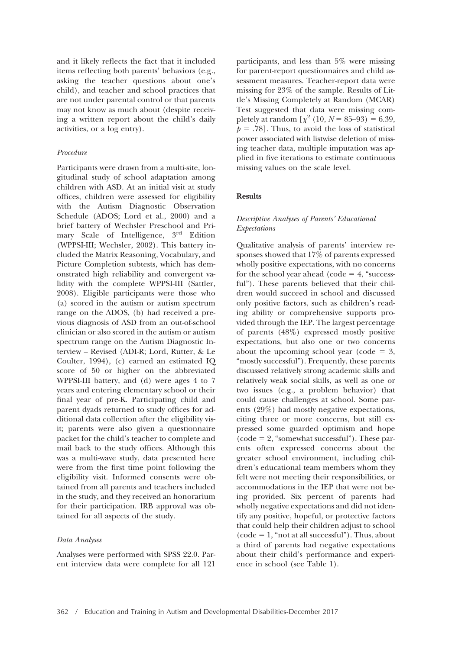and it likely reflects the fact that it included items reflecting both parents' behaviors (e.g., asking the teacher questions about one's child), and teacher and school practices that are not under parental control or that parents may not know as much about (despite receiving a written report about the child's daily activities, or a log entry).

### *Procedure*

Participants were drawn from a multi-site, longitudinal study of school adaptation among children with ASD. At an initial visit at study offices, children were assessed for eligibility with the Autism Diagnostic Observation Schedule (ADOS; Lord et al., 2000) and a brief battery of Wechsler Preschool and Primary Scale of Intelligence, 3<sup>rd</sup> Edition (WPPSI-III; Wechsler, 2002). This battery included the Matrix Reasoning, Vocabulary, and Picture Completion subtests, which has demonstrated high reliability and convergent validity with the complete WPPSI-III (Sattler, 2008). Eligible participants were those who (a) scored in the autism or autism spectrum range on the ADOS, (b) had received a previous diagnosis of ASD from an out-of-school clinician or also scored in the autism or autism spectrum range on the Autism Diagnostic Interview – Revised (ADI-R; Lord, Rutter, & Le Coulter, 1994), (c) earned an estimated IQ score of 50 or higher on the abbreviated WPPSI-III battery, and (d) were ages 4 to 7 years and entering elementary school or their final year of pre-K. Participating child and parent dyads returned to study offices for additional data collection after the eligibility visit; parents were also given a questionnaire packet for the child's teacher to complete and mail back to the study offices. Although this was a multi-wave study, data presented here were from the first time point following the eligibility visit. Informed consents were obtained from all parents and teachers included in the study, and they received an honorarium for their participation. IRB approval was obtained for all aspects of the study.

#### *Data Analyses*

Analyses were performed with SPSS 22.0. Parent interview data were complete for all 121

participants, and less than 5% were missing for parent-report questionnaires and child assessment measures. Teacher-report data were missing for 23% of the sample. Results of Little's Missing Completely at Random (MCAR) Test suggested that data were missing completely at random  $[\chi^2 (10, N = 85{\text -}93) = 6.39,$  $p = .78$ . Thus, to avoid the loss of statistical power associated with listwise deletion of missing teacher data, multiple imputation was applied in five iterations to estimate continuous missing values on the scale level.

## **Results**

# *Descriptive Analyses of Parents' Educational Expectations*

Qualitative analysis of parents' interview responses showed that 17% of parents expressed wholly positive expectations, with no concerns for the school year ahead  $(code = 4, "success$ ful"). These parents believed that their children would succeed in school and discussed only positive factors, such as children's reading ability or comprehensive supports provided through the IEP. The largest percentage of parents (48%) expressed mostly positive expectations, but also one or two concerns about the upcoming school year (code  $=$  3, "mostly successful"). Frequently, these parents discussed relatively strong academic skills and relatively weak social skills, as well as one or two issues (e.g., a problem behavior) that could cause challenges at school. Some parents (29%) had mostly negative expectations, citing three or more concerns, but still expressed some guarded optimism and hope (code - 2, "somewhat successful"). These parents often expressed concerns about the greater school environment, including children's educational team members whom they felt were not meeting their responsibilities, or accommodations in the IEP that were not being provided. Six percent of parents had wholly negative expectations and did not identify any positive, hopeful, or protective factors that could help their children adjust to school  $(code = 1, "not at all successful"). Thus, about$ a third of parents had negative expectations about their child's performance and experience in school (see Table 1).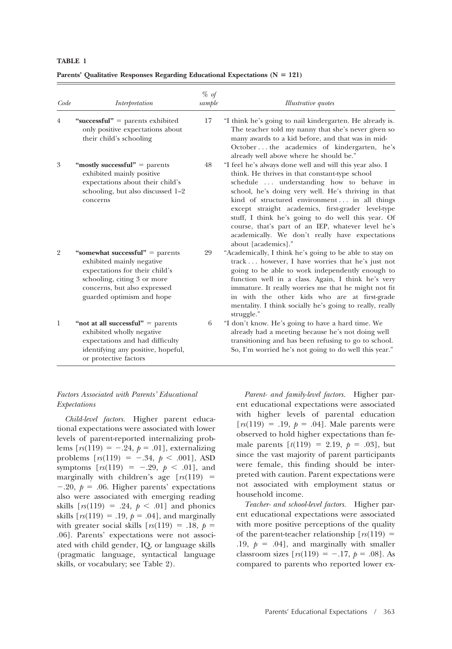|--|--|

Parents' Qualitative Responses Regarding Educational Expectations (N = 121)

| Code           | Interpretation                                                                                                                                                                               | % of<br>sample | <i>Illustrative quotes</i>                                                                                                                                                                                                                                                                                                                                                                                                                                                                                |
|----------------|----------------------------------------------------------------------------------------------------------------------------------------------------------------------------------------------|----------------|-----------------------------------------------------------------------------------------------------------------------------------------------------------------------------------------------------------------------------------------------------------------------------------------------------------------------------------------------------------------------------------------------------------------------------------------------------------------------------------------------------------|
| 4              | "successful" = parents exhibited<br>only positive expectations about<br>their child's schooling                                                                                              | 17             | "I think he's going to nail kindergarten. He already is.<br>The teacher told my nanny that she's never given so<br>many awards to a kid before, and that was in mid-<br>Octoberthe academics of kindergarten, he's<br>already well above where he should be."                                                                                                                                                                                                                                             |
| 3              | "mostly successful" $=$ parents<br>exhibited mainly positive<br>expectations about their child's<br>schooling, but also discussed 1-2<br>concerns                                            | 48             | "I feel he's always done well and will this year also. I<br>think. He thrives in that constant-type school<br>schedule  understanding how to behave in<br>school, he's doing very well. He's thriving in that<br>kind of structured environment in all things<br>except straight academics, first-grader level-type<br>stuff, I think he's going to do well this year. Of<br>course, that's part of an IEP, whatever level he's<br>academically. We don't really have expectations<br>about [academics]." |
| $\overline{2}$ | "somewhat successful" $=$ parents<br>exhibited mainly negative<br>expectations for their child's<br>schooling, citing 3 or more<br>concerns, but also expressed<br>guarded optimism and hope | 29             | "Academically, I think he's going to be able to stay on<br>track however, I have worries that he's just not<br>going to be able to work independently enough to<br>function well in a class. Again, I think he's very<br>immature. It really worries me that he might not fit<br>in with the other kids who are at first-grade<br>mentality. I think socially he's going to really, really<br>struggle."                                                                                                  |
| -1             | "not at all successful" $=$ parents<br>exhibited wholly negative<br>expectations and had difficulty<br>identifying any positive, hopeful,<br>or protective factors                           | 6              | "I don't know. He's going to have a hard time. We<br>already had a meeting because he's not doing well<br>transitioning and has been refusing to go to school.<br>So, I'm worried he's not going to do well this year."                                                                                                                                                                                                                                                                                   |

# *Factors Associated with Parents' Educational Expectations*

*Child-level factors.* Higher parent educational expectations were associated with lower levels of parent-reported internalizing problems  $[rs(119) = -.24, p = .01]$ , externalizing problems  $[rs(119) = -.34, p < .001]$ , ASD symptoms  $[x(119) = -.29, p < .01]$ , and marginally with children's age  $[rs(119) =$  $-.20, p = .06$ . Higher parents' expectations also were associated with emerging reading skills  $[rs(119) = .24, p < .01]$  and phonics skills  $[rs(119) = .19, p = .04]$ , and marginally with greater social skills  $[rs(119) = .18, p =$ .06]. Parents' expectations were not associated with child gender, IQ, or language skills (pragmatic language, syntactical language skills, or vocabulary; see Table 2).

*Parent- and family-level factors.* Higher parent educational expectations were associated with higher levels of parental education  $[r(s(119) = .19, p = .04]$ . Male parents were observed to hold higher expectations than female parents  $[t(119) = 2.19, p = .03]$ , but since the vast majority of parent participants were female, this finding should be interpreted with caution. Parent expectations were not associated with employment status or household income.

*Teacher- and school-level factors.* Higher parent educational expectations were associated with more positive perceptions of the quality of the parent-teacher relationship  $[r(s(119)) =$  $.19, p = .04$ ], and marginally with smaller classroom sizes  $[rs(119) = -.17, p = .08]$ . As compared to parents who reported lower ex-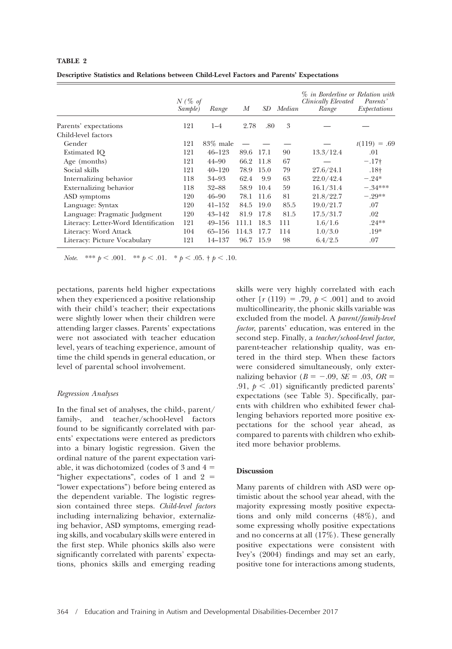## **TABLE 2**

|  |  |  |  | Descriptive Statistics and Relations between Child-Level Factors and Parents' Expectations |
|--|--|--|--|--------------------------------------------------------------------------------------------|
|  |  |  |  |                                                                                            |

|                                      | $N$ (% of<br>Sample) | Range       | М         | SD   | Median | % in Borderline or Relation with<br>Clinically Elevated<br>Range | Parents'<br>Expectations |
|--------------------------------------|----------------------|-------------|-----------|------|--------|------------------------------------------------------------------|--------------------------|
| Parents' expectations                | 121                  | $1 - 4$     | 2.78      | .80  | 3      |                                                                  |                          |
| Child-level factors                  |                      |             |           |      |        |                                                                  |                          |
| Gender                               | 121                  | $83\%$ male |           |      |        |                                                                  | $t(119) = .69$           |
| Estimated IQ                         | 121                  | $46 - 123$  | 89.6      | 17.1 | 90     | 13.3/12.4                                                        | .01                      |
| Age (months)                         | 121                  | $44 - 90$   | 66.2      | 11.8 | 67     |                                                                  | $-.17+$                  |
| Social skills                        | 121                  | $40 - 120$  | 78.9      | 15.0 | 79     | 27.6/24.1                                                        | $.18+$                   |
| Internalizing behavior               | 118                  | $34 - 93$   | 62.4      | 9.9  | 63     | 22.0/42.4                                                        | $-.24*$                  |
| Externalizing behavior               | 118                  | $32 - 88$   | 58.9      | 10.4 | 59     | 16.1/31.4                                                        | $-.34***$                |
| ASD symptoms                         | 120                  | $46 - 90$   | 78.1      | 11.6 | 81     | 21.8/22.7                                                        | $-.29**$                 |
| Language: Syntax                     | 120                  | $41 - 152$  | 84.5      | 19.0 | 85.5   | 19.0/21.7                                                        | .07                      |
| Language: Pragmatic Judgment         | 120                  | $43 - 142$  | 81.9      | 17.8 | 81.5   | 17.5/31.7                                                        | .02                      |
| Literacy: Letter-Word Identification | 121                  | $49 - 156$  | 111.1     | 18.3 | 111    | 1.6/1.6                                                          | $.24**$                  |
| Literacy: Word Attack                | 104                  | $65 - 156$  | 114.3     | 17.7 | 114    | 1.0/3.0                                                          | $.19*$                   |
| Literacy: Picture Vocabulary         | 121                  | 14–137      | 96.7 15.9 |      | 98     | 6.4/2.5                                                          | .07                      |

*Note.* \*\*\*  $p < .001$ . \*\*  $p < .01$ . \*  $p < .05$ .  $\dagger p < .10$ .

pectations, parents held higher expectations when they experienced a positive relationship with their child's teacher; their expectations were slightly lower when their children were attending larger classes. Parents' expectations were not associated with teacher education level, years of teaching experience, amount of time the child spends in general education, or level of parental school involvement.

## *Regression Analyses*

In the final set of analyses, the child-, parent/ family-, and teacher/school-level factors found to be significantly correlated with parents' expectations were entered as predictors into a binary logistic regression. Given the ordinal nature of the parent expectation variable, it was dichotomized (codes of  $3$  and  $4 =$ "higher expectations", codes of 1 and  $2 =$ "lower expectations") before being entered as the dependent variable. The logistic regression contained three steps. *Child-level factors* including internalizing behavior, externalizing behavior, ASD symptoms, emerging reading skills, and vocabulary skills were entered in the first step. While phonics skills also were significantly correlated with parents' expectations, phonics skills and emerging reading

skills were very highly correlated with each other  $[r (119) = .79, p < .001]$  and to avoid multicollinearity, the phonic skills variable was excluded from the model. A *parent/family-level factor*, parents' education, was entered in the second step. Finally, a *teacher/school-level factor*, parent-teacher relationship quality, was entered in the third step. When these factors were considered simultaneously, only externalizing behavior  $(B = -.09, SE = .03, OR =$ .91,  $p < .01$ ) significantly predicted parents' expectations (see Table 3). Specifically, parents with children who exhibited fewer challenging behaviors reported more positive expectations for the school year ahead, as compared to parents with children who exhibited more behavior problems.

#### **Discussion**

Many parents of children with ASD were optimistic about the school year ahead, with the majority expressing mostly positive expectations and only mild concerns (48%), and some expressing wholly positive expectations and no concerns at all (17%). These generally positive expectations were consistent with Ivey's (2004) findings and may set an early, positive tone for interactions among students,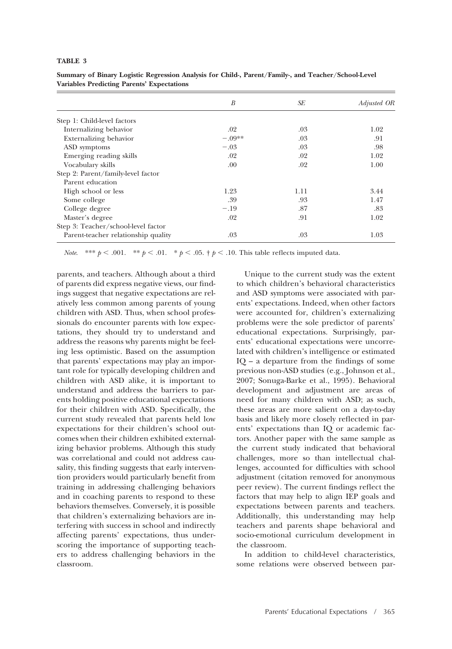## **TABLE 3**

|                                     | B        | SE   | Adjusted OR |
|-------------------------------------|----------|------|-------------|
| Step 1: Child-level factors         |          |      |             |
| Internalizing behavior              | .02      | .03  | 1.02        |
| Externalizing behavior              | $-.09**$ | .03  | .91         |
| ASD symptoms                        | $-.03$   | .03  | .98         |
| Emerging reading skills             | .02      | .02  | 1.02        |
| Vocabulary skills                   | .00      | .02  | 1.00        |
| Step 2: Parent/family-level factor  |          |      |             |
| Parent education                    |          |      |             |
| High school or less                 | 1.23     | 1.11 | 3.44        |
| Some college                        | .39      | .93  | 1.47        |
| College degree                      | $-.19$   | .87  | .83         |
| Master's degree                     | .02      | .91  | 1.02        |
| Step 3: Teacher/school-level factor |          |      |             |
| Parent-teacher relationship quality | .03      | .03  | 1.03        |

**Summary of Binary Logistic Regression Analysis for Child-, Parent/Family-, and Teacher/School-Level Variables Predicting Parents' Expectations**

*Note.* \*\*\*  $p < .001$ . \*\*  $p < .01$ . \*  $p < .05$ . †  $p < .10$ . This table reflects imputed data.

parents, and teachers. Although about a third of parents did express negative views, our findings suggest that negative expectations are relatively less common among parents of young children with ASD. Thus, when school professionals do encounter parents with low expectations, they should try to understand and address the reasons why parents might be feeling less optimistic. Based on the assumption that parents' expectations may play an important role for typically developing children and children with ASD alike, it is important to understand and address the barriers to parents holding positive educational expectations for their children with ASD. Specifically, the current study revealed that parents held low expectations for their children's school outcomes when their children exhibited externalizing behavior problems. Although this study was correlational and could not address causality, this finding suggests that early intervention providers would particularly benefit from training in addressing challenging behaviors and in coaching parents to respond to these behaviors themselves. Conversely, it is possible that children's externalizing behaviors are interfering with success in school and indirectly affecting parents' expectations, thus underscoring the importance of supporting teachers to address challenging behaviors in the classroom.

Unique to the current study was the extent to which children's behavioral characteristics and ASD symptoms were associated with parents' expectations. Indeed, when other factors were accounted for, children's externalizing problems were the sole predictor of parents' educational expectations. Surprisingly, parents' educational expectations were uncorrelated with children's intelligence or estimated IQ – a departure from the findings of some previous non-ASD studies (e.g., Johnson et al., 2007; Sonuga-Barke et al., 1995). Behavioral development and adjustment are areas of need for many children with ASD; as such, these areas are more salient on a day-to-day basis and likely more closely reflected in parents' expectations than IQ or academic factors. Another paper with the same sample as the current study indicated that behavioral challenges, more so than intellectual challenges, accounted for difficulties with school adjustment (citation removed for anonymous peer review). The current findings reflect the factors that may help to align IEP goals and expectations between parents and teachers. Additionally, this understanding may help teachers and parents shape behavioral and socio-emotional curriculum development in the classroom.

In addition to child-level characteristics, some relations were observed between par-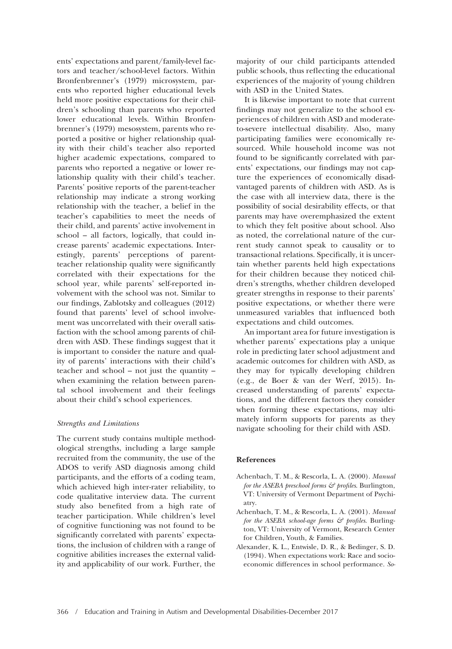ents' expectations and parent/family-level factors and teacher/school-level factors. Within Bronfenbrenner's (1979) microsystem, parents who reported higher educational levels held more positive expectations for their children's schooling than parents who reported lower educational levels. Within Bronfenbrenner's (1979) mesosystem, parents who reported a positive or higher relationship quality with their child's teacher also reported higher academic expectations, compared to parents who reported a negative or lower relationship quality with their child's teacher. Parents' positive reports of the parent-teacher relationship may indicate a strong working relationship with the teacher, a belief in the teacher's capabilities to meet the needs of their child, and parents' active involvement in school – all factors, logically, that could increase parents' academic expectations. Interestingly, parents' perceptions of parentteacher relationship quality were significantly correlated with their expectations for the school year, while parents' self-reported involvement with the school was not. Similar to our findings, Zablotsky and colleagues (2012) found that parents' level of school involvement was uncorrelated with their overall satisfaction with the school among parents of children with ASD. These findings suggest that it is important to consider the nature and quality of parents' interactions with their child's teacher and school – not just the quantity – when examining the relation between parental school involvement and their feelings about their child's school experiences.

## *Strengths and Limitations*

The current study contains multiple methodological strengths, including a large sample recruited from the community, the use of the ADOS to verify ASD diagnosis among child participants, and the efforts of a coding team, which achieved high inter-rater reliability, to code qualitative interview data. The current study also benefited from a high rate of teacher participation. While children's level of cognitive functioning was not found to be significantly correlated with parents' expectations, the inclusion of children with a range of cognitive abilities increases the external validity and applicability of our work. Further, the majority of our child participants attended public schools, thus reflecting the educational experiences of the majority of young children with ASD in the United States.

It is likewise important to note that current findings may not generalize to the school experiences of children with ASD and moderateto-severe intellectual disability. Also, many participating families were economically resourced. While household income was not found to be significantly correlated with parents' expectations, our findings may not capture the experiences of economically disadvantaged parents of children with ASD. As is the case with all interview data, there is the possibility of social desirability effects, or that parents may have overemphasized the extent to which they felt positive about school. Also as noted, the correlational nature of the current study cannot speak to causality or to transactional relations. Specifically, it is uncertain whether parents held high expectations for their children because they noticed children's strengths, whether children developed greater strengths in response to their parents' positive expectations, or whether there were unmeasured variables that influenced both expectations and child outcomes.

An important area for future investigation is whether parents' expectations play a unique role in predicting later school adjustment and academic outcomes for children with ASD, as they may for typically developing children (e.g., de Boer & van der Werf, 2015). Increased understanding of parents' expectations, and the different factors they consider when forming these expectations, may ultimately inform supports for parents as they navigate schooling for their child with ASD.

#### **References**

- Achenbach, T. M., & Rescorla, L. A. (2000). *Manual for the ASEBA preschool forms & profiles*. Burlington, VT: University of Vermont Department of Psychiatry.
- Achenbach, T. M., & Rescorla, L. A. (2001). *Manual for the ASEBA school-age forms & profiles*. Burlington, VT: University of Vermont, Research Center for Children, Youth, & Families.
- Alexander, K. L., Entwisle, D. R., & Bedinger, S. D. (1994). When expectations work: Race and socioeconomic differences in school performance. *So-*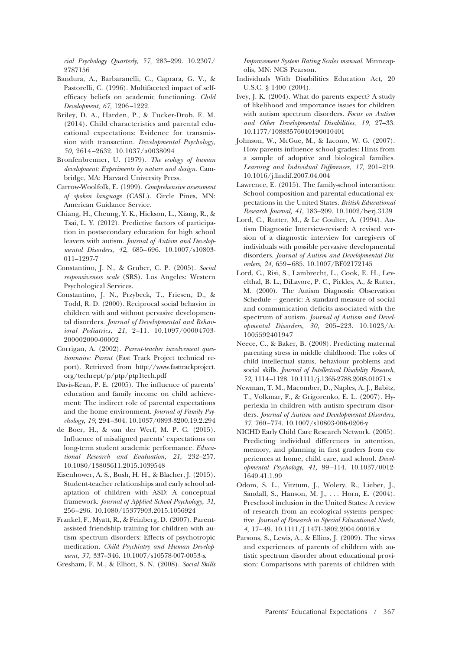*cial Psychology Quarterly, 57,* 283–299. 10.2307/ 2787156

- Bandura, A., Barbaranelli, C., Caprara, G. V., & Pastorelli, C. (1996). Multifaceted impact of selfefficacy beliefs on academic functioning. *Child Development, 67,* 1206–1222.
- Briley, D. A., Harden, P., & Tucker-Drob, E. M. (2014). Child characteristics and parental educational expectations: Evidence for transmission with transaction. *Developmental Psychology, 50,* 2614–2632. 10.1037/a0038094
- Bronfenbrenner, U. (1979). *The ecology of human development: Experiments by nature and design.* Cambridge, MA: Harvard University Press.
- Carrow-Woolfolk, E. (1999). *Comprehensive assessment of spoken language* (CASL). Circle Pines, MN: American Guidance Service.
- Chiang, H., Cheung, Y. K., Hickson, L., Xiang, R., & Tsai, L. Y. (2012). Predictive factors of participation in postsecondary education for high school leavers with autism. *Journal of Autism and Developmental Disorders, 42,* 685–696. 10.1007/s10803- 011–1297-7
- Constantino, J. N., & Gruber, C. P. (2005). *Social responsiveness scale* (SRS). Los Angeles: Western Psychological Services.
- Constantino, J. N., Przybeck, T., Friesen, D., & Todd, R. D. (2000). Reciprocal social behavior in children with and without pervasive developmental disorders. *Journal of Developmental and Behavioral Pediatrics, 21,* 2–11. 10.1097/00004703- 200002000-00002
- Corrigan, A. (2002). *Parent-teacher involvement questionnaire: Parent* (Fast Track Project technical report). Retrieved from [http://www.fasttrackproject.](http://www.fasttrackproject.org/techrept/p/ptp/ptp1tech.pdf) [org/techrept/p/ptp/ptp1tech.pdf](http://www.fasttrackproject.org/techrept/p/ptp/ptp1tech.pdf)
- Davis-Kean, P. E. (2005). The influence of parents' education and family income on child achievement: The indirect role of parental expectations and the home environment. *Journal of Family Psychology, 19,* 294–304. 10.1037/0893-3200.19.2.294
- de Boer, H., & van der Werf, M. P. C. (2015). Influence of misaligned parents' expectations on long-term student academic performance. *Educational Research and Evaluation, 21,* 232–257. 10.1080/13803611.2015.1039548
- Eisenhower, A. S., Bush, H. H., & Blacher, J. (2015). Student-teacher relationships and early school adaptation of children with ASD: A conceptual framework. *Journal of Applied School Psychology, 31,* 256–296. 10.1080/15377903.2015.1056924
- Frankel, F., Myatt, R., & Feinberg, D. (2007). Parentassisted friendship training for children with autism spectrum disorders: Effects of psychotropic medication. *Child Psychiatry and Human Development, 37,* 337–346. 10.1007/s10578-007-0053-x
- Gresham, F. M., & Elliott, S. N. (2008). *Social Skills*

*Improvement System Rating Scales manual*. Minneapolis, MN: NCS Pearson.

- Individuals With Disabilities Education Act, 20 U.S.C. § 1400 (2004).
- Ivey, J. K. (2004). What do parents expect? A study of likelihood and importance issues for children with autism spectrum disorders. *Focus on Autism and Other Developmental Disabilities, 19,* 27–33. 10.1177/10883576040190010401
- Johnson, W., McGue, M., & Iacono, W. G. (2007). How parents influence school grades: Hints from a sample of adoptive and biological families. *Learning and Individual Differences, 17,* 201–219. 10.1016/j.lindif.2007.04.004
- Lawrence, E. (2015). The family-school interaction: School composition and parental educational expectations in the United States. *British Educational Research Journal, 41,* 183–209. 10.1002/berj.3139
- Lord, C., Rutter, M., & Le Coulter, A. (1994). Autism Diagnostic Interview-revised: A revised version of a diagnostic interview for caregivers of individuals with possible pervasive developmental disorders. *Journal of Autism and Developmental Disorders, 24,* 659–685. 10.1007/BF02172145
- Lord, C., Risi, S., Lambrecht, L., Cook, E. H., Levelthal, B. L., DiLavore, P. C., Pickles, A., & Rutter, M. (2000). The Autism Diagnostic Observation Schedule – generic: A standard measure of social and communication deficits associated with the spectrum of autism. *Journal of Autism and Developmental Disorders, 30,* 205–223. 10.1023/A: 1005592401947
- Neece, C., & Baker, B. (2008). Predicting maternal parenting stress in middle childhood: The roles of child intellectual status, behaviour problems and social skills. *Journal of Intellectual Disability Research, 52,* 1114–1128. 10.1111/j.1365-2788.2008.01071.x
- Newman, T. M., Macomber, D., Naples, A. J., Babitz, T., Volkmar, F., & Grigorenko, E. L. (2007). Hyperlexia in children with autism spectrum disorders. *Journal of Autism and Developmental Disorders, 37,* 760–774. 10.1007/s10803-006-0206-y
- NICHD Early Child Care Research Network. (2005). Predicting individual differences in attention, memory, and planning in first graders from experiences at home, child care, and school. *Developmental Psychology, 41,* 99–114. 10.1037/0012- 1649.41.1.99
- Odom, S. L., Vitztum, J., Wolery, R., Lieber, J., Sandall, S., Hanson, M. J., . . . Horn, E. (2004). Preschool inclusion in the United States: A review of research from an ecological systems perspective. *Journal of Research in Special Educational Needs, 4,* 17–49. 10.1111/J.1471-3802.2004.00016.x
- Parsons, S., Lewis, A., & Ellins, J. (2009). The views and experiences of parents of children with autistic spectrum disorder about educational provision: Comparisons with parents of children with